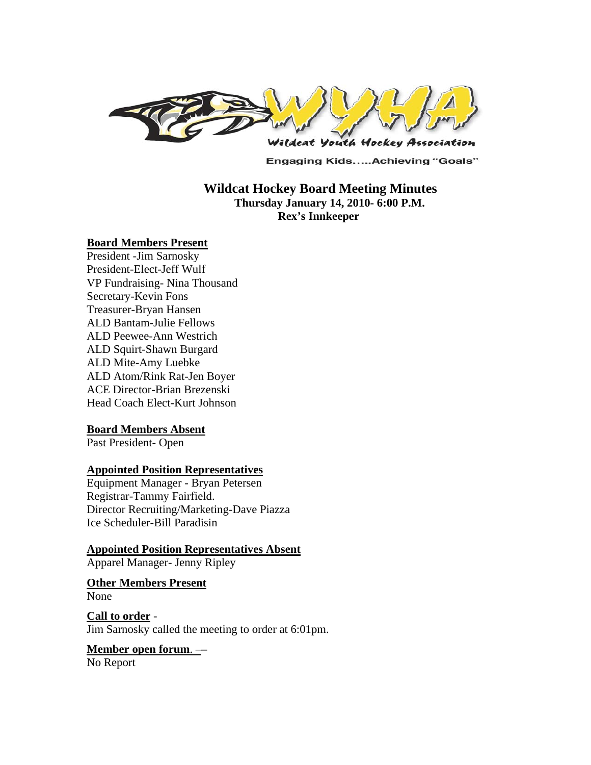

**Engaging Kids.....Achieving "Goals"** 

## **Wildcat Hockey Board Meeting Minutes Thursday January 14, 2010- 6:00 P.M. Rex's Innkeeper**

#### **Board Members Present**

President -Jim Sarnosky President-Elect-Jeff Wulf VP Fundraising- Nina Thousand Secretary-Kevin Fons Treasurer-Bryan Hansen ALD Bantam-Julie Fellows ALD Peewee-Ann Westrich ALD Squirt-Shawn Burgard ALD Mite-Amy Luebke ALD Atom/Rink Rat-Jen Boyer ACE Director-Brian Brezenski Head Coach Elect-Kurt Johnson

#### **Board Members Absent**

Past President- Open

#### **Appointed Position Representatives**

Equipment Manager - Bryan Petersen Registrar-Tammy Fairfield. Director Recruiting/Marketing-Dave Piazza Ice Scheduler-Bill Paradisin

**Appointed Position Representatives Absent** Apparel Manager- Jenny Ripley

**Other Members Present** None

**Call to order** - Jim Sarnosky called the meeting to order at 6:01pm.

### **Member open forum**. –**–**

No Report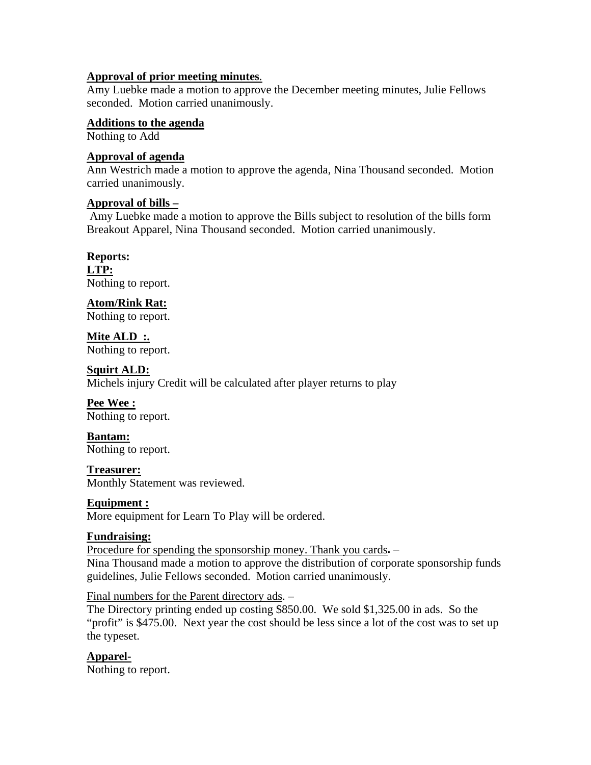### **Approval of prior meeting minutes**.

Amy Luebke made a motion to approve the December meeting minutes, Julie Fellows seconded. Motion carried unanimously.

### **Additions to the agenda**

Nothing to Add

## **Approval of agenda**

Ann Westrich made a motion to approve the agenda, Nina Thousand seconded. Motion carried unanimously.

## **Approval of bills –**

 Amy Luebke made a motion to approve the Bills subject to resolution of the bills form Breakout Apparel, Nina Thousand seconded. Motion carried unanimously.

**Reports: LTP:** 

Nothing to report.

**Atom/Rink Rat:** 

Nothing to report.

**Mite ALD :.**  Nothing to report.

### **Squirt ALD:**

Michels injury Credit will be calculated after player returns to play

# **Pee Wee :**

Nothing to report.

**Bantam:**  Nothing to report.

### **Treasurer:**

Monthly Statement was reviewed.

### **Equipment :**

More equipment for Learn To Play will be ordered.

# **Fundraising:**

Procedure for spending the sponsorship money. Thank you cards**.** – Nina Thousand made a motion to approve the distribution of corporate sponsorship funds guidelines, Julie Fellows seconded. Motion carried unanimously.

Final numbers for the Parent directory ads. –

The Directory printing ended up costing \$850.00. We sold \$1,325.00 in ads. So the "profit" is \$475.00. Next year the cost should be less since a lot of the cost was to set up the typeset.

**Apparel-**Nothing to report.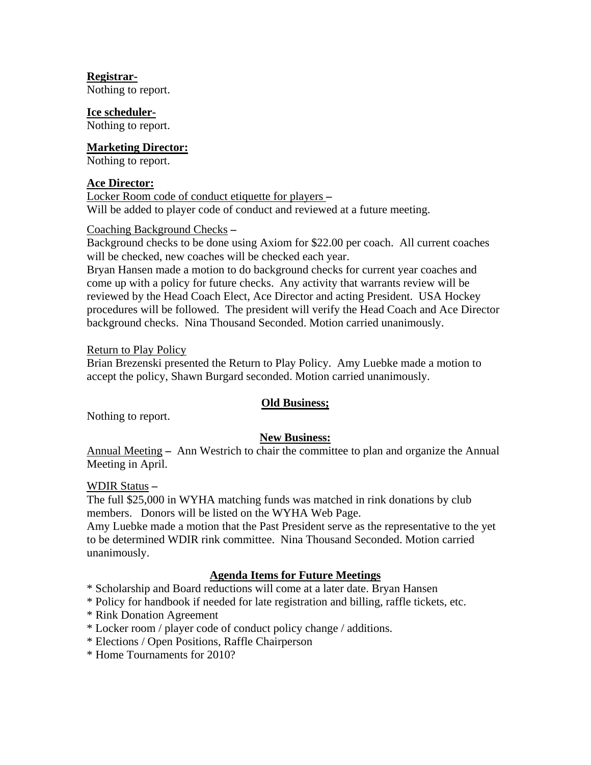## **Registrar-**

Nothing to report.

### **Ice scheduler-**

Nothing to report.

### **Marketing Director:**

Nothing to report.

### **Ace Director:**

Locker Room code of conduct etiquette for players **–**  Will be added to player code of conduct and reviewed at a future meeting.

## Coaching Background Checks **–**

Background checks to be done using Axiom for \$22.00 per coach. All current coaches will be checked, new coaches will be checked each year.

Bryan Hansen made a motion to do background checks for current year coaches and come up with a policy for future checks. Any activity that warrants review will be reviewed by the Head Coach Elect, Ace Director and acting President. USA Hockey procedures will be followed. The president will verify the Head Coach and Ace Director background checks. Nina Thousand Seconded. Motion carried unanimously.

### Return to Play Policy

Brian Brezenski presented the Return to Play Policy. Amy Luebke made a motion to accept the policy, Shawn Burgard seconded. Motion carried unanimously.

# **Old Business;**

Nothing to report.

# **New Business:**

Annual Meeting **–** Ann Westrich to chair the committee to plan and organize the Annual Meeting in April.

### WDIR Status **–**

The full \$25,000 in WYHA matching funds was matched in rink donations by club members. Donors will be listed on the WYHA Web Page.

Amy Luebke made a motion that the Past President serve as the representative to the yet to be determined WDIR rink committee. Nina Thousand Seconded. Motion carried unanimously.

# **Agenda Items for Future Meetings**

\* Scholarship and Board reductions will come at a later date. Bryan Hansen

\* Policy for handbook if needed for late registration and billing, raffle tickets, etc.

- \* Rink Donation Agreement
- \* Locker room / player code of conduct policy change / additions.
- \* Elections / Open Positions, Raffle Chairperson
- \* Home Tournaments for 2010?